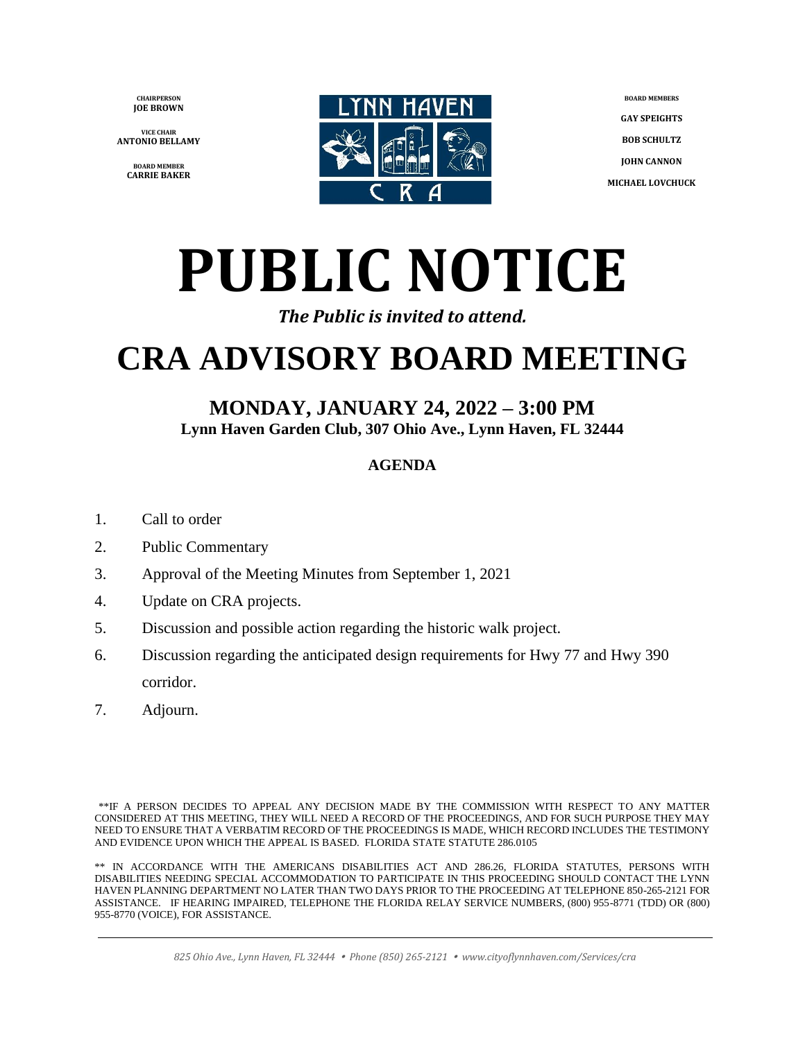**CHAIRPERSON JOE BROWN**

**VICE CHAIR ANTONIO BELLAMY**

> **BOARD MEMBER CARRIE BAKER**



**BOARD MEMBERS GAY SPEIGHTS BOB SCHULTZ JOHN CANNON MICHAEL LOVCHUCK**

# **PUBLIC NOTICE**

#### *The Public is invited to attend.*

## **CRA ADVISORY BOARD MEETING**

#### **MONDAY, JANUARY 24, 2022 – 3:00 PM Lynn Haven Garden Club, 307 Ohio Ave., Lynn Haven, FL 32444**

#### **AGENDA**

- 1. Call to order
- 2. Public Commentary
- 3. Approval of the Meeting Minutes from September 1, 2021
- 4. Update on CRA projects.
- 5. Discussion and possible action regarding the historic walk project.
- 6. Discussion regarding the anticipated design requirements for Hwy 77 and Hwy 390 corridor.
- 7. Adjourn.

\*\*IF A PERSON DECIDES TO APPEAL ANY DECISION MADE BY THE COMMISSION WITH RESPECT TO ANY MATTER CONSIDERED AT THIS MEETING, THEY WILL NEED A RECORD OF THE PROCEEDINGS, AND FOR SUCH PURPOSE THEY MAY NEED TO ENSURE THAT A VERBATIM RECORD OF THE PROCEEDINGS IS MADE, WHICH RECORD INCLUDES THE TESTIMONY AND EVIDENCE UPON WHICH THE APPEAL IS BASED. FLORIDA STATE STATUTE 286.0105

\*\* IN ACCORDANCE WITH THE AMERICANS DISABILITIES ACT AND 286.26, FLORIDA STATUTES, PERSONS WITH DISABILITIES NEEDING SPECIAL ACCOMMODATION TO PARTICIPATE IN THIS PROCEEDING SHOULD CONTACT THE LYNN HAVEN PLANNING DEPARTMENT NO LATER THAN TWO DAYS PRIOR TO THE PROCEEDING AT TELEPHONE 850-265-2121 FOR ASSISTANCE. IF HEARING IMPAIRED, TELEPHONE THE FLORIDA RELAY SERVICE NUMBERS, (800) 955-8771 (TDD) OR (800) 955-8770 (VOICE), FOR ASSISTANCE.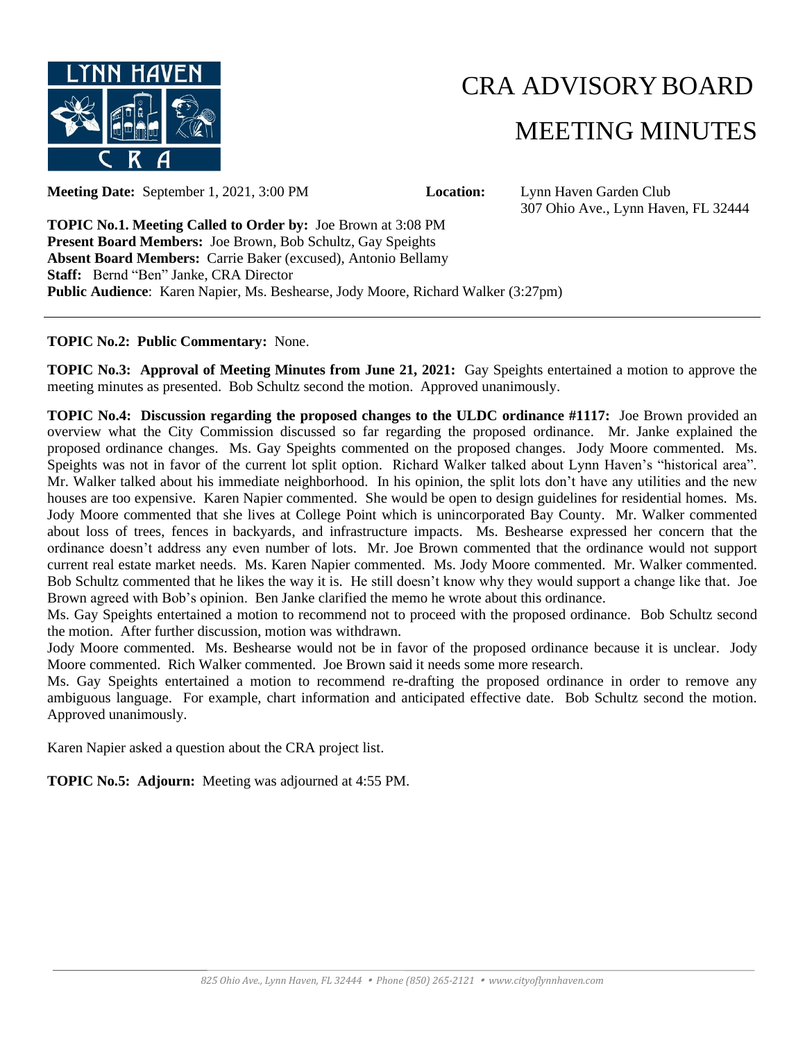

## CRA ADVISORYBOARD MEETING MINUTES

**Meeting Date:** September 1, 2021, 3:00 PM **Location:** Lynn Haven Garden Club

307 Ohio Ave., Lynn Haven, FL 32444

**TOPIC No.1. Meeting Called to Order by:** Joe Brown at 3:08 PM **Present Board Members:** Joe Brown, Bob Schultz, Gay Speights **Absent Board Members:** Carrie Baker (excused), Antonio Bellamy **Staff:** Bernd "Ben" Janke, CRA Director **Public Audience**: Karen Napier, Ms. Beshearse, Jody Moore, Richard Walker (3:27pm)

#### **TOPIC No.2: Public Commentary:** None.

**TOPIC No.3: Approval of Meeting Minutes from June 21, 2021:** Gay Speights entertained a motion to approve the meeting minutes as presented. Bob Schultz second the motion. Approved unanimously.

**TOPIC No.4: Discussion regarding the proposed changes to the ULDC ordinance #1117:** Joe Brown provided an overview what the City Commission discussed so far regarding the proposed ordinance. Mr. Janke explained the proposed ordinance changes. Ms. Gay Speights commented on the proposed changes. Jody Moore commented. Ms. Speights was not in favor of the current lot split option. Richard Walker talked about Lynn Haven's "historical area". Mr. Walker talked about his immediate neighborhood. In his opinion, the split lots don't have any utilities and the new houses are too expensive. Karen Napier commented. She would be open to design guidelines for residential homes. Ms. Jody Moore commented that she lives at College Point which is unincorporated Bay County. Mr. Walker commented about loss of trees, fences in backyards, and infrastructure impacts. Ms. Beshearse expressed her concern that the ordinance doesn't address any even number of lots. Mr. Joe Brown commented that the ordinance would not support current real estate market needs. Ms. Karen Napier commented. Ms. Jody Moore commented. Mr. Walker commented. Bob Schultz commented that he likes the way it is. He still doesn't know why they would support a change like that. Joe Brown agreed with Bob's opinion. Ben Janke clarified the memo he wrote about this ordinance.

Ms. Gay Speights entertained a motion to recommend not to proceed with the proposed ordinance. Bob Schultz second the motion. After further discussion, motion was withdrawn.

Jody Moore commented. Ms. Beshearse would not be in favor of the proposed ordinance because it is unclear. Jody Moore commented. Rich Walker commented. Joe Brown said it needs some more research.

Ms. Gay Speights entertained a motion to recommend re-drafting the proposed ordinance in order to remove any ambiguous language. For example, chart information and anticipated effective date. Bob Schultz second the motion. Approved unanimously.

Karen Napier asked a question about the CRA project list.

**TOPIC No.5: Adjourn:** Meeting was adjourned at 4:55 PM.